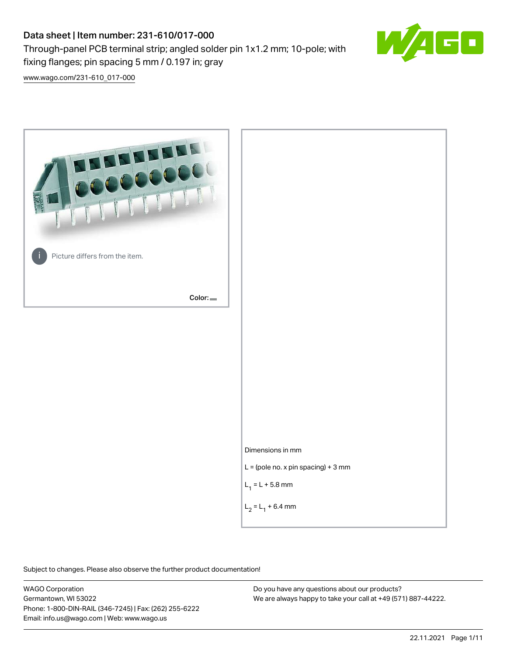# Data sheet | Item number: 231-610/017-000

fixing flanges; pin spacing 5 mm / 0.197 in; gray

Through-panel PCB terminal strip; angled solder pin 1x1.2 mm; 10-pole; with



[www.wago.com/231-610\\_017-000](http://www.wago.com/231-610_017-000)



Subject to changes. Please also observe the further product documentation!

WAGO Corporation Germantown, WI 53022 Phone: 1-800-DIN-RAIL (346-7245) | Fax: (262) 255-6222 Email: info.us@wago.com | Web: www.wago.us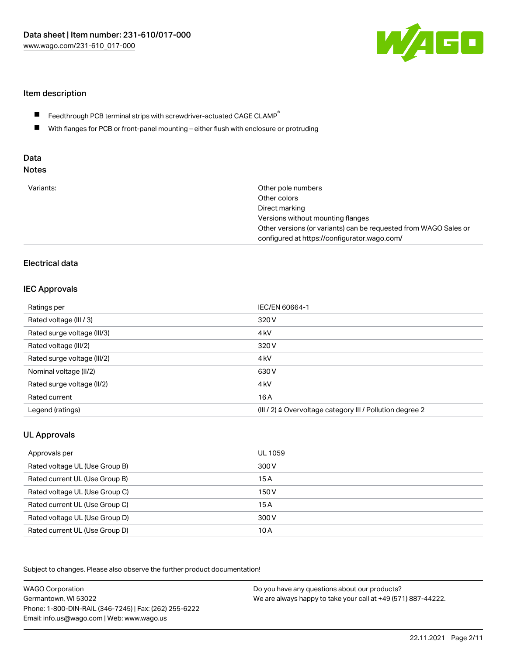

### Item description

- Feedthrough PCB terminal strips with screwdriver-actuated CAGE CLAMP $^\circ$  $\blacksquare$
- $\blacksquare$ With flanges for PCB or front-panel mounting – either flush with enclosure or protruding

# Data

| Variants: | Other pole numbers                                               |
|-----------|------------------------------------------------------------------|
|           | Other colors                                                     |
|           | Direct marking                                                   |
|           | Versions without mounting flanges                                |
|           | Other versions (or variants) can be requested from WAGO Sales or |
|           | configured at https://configurator.wago.com/                     |
|           |                                                                  |

# Electrical data

### IEC Approvals

| Ratings per                 | IEC/EN 60664-1                                                        |
|-----------------------------|-----------------------------------------------------------------------|
| Rated voltage (III / 3)     | 320 V                                                                 |
| Rated surge voltage (III/3) | 4 <sub>kV</sub>                                                       |
| Rated voltage (III/2)       | 320 V                                                                 |
| Rated surge voltage (III/2) | 4 <sub>kV</sub>                                                       |
| Nominal voltage (II/2)      | 630 V                                                                 |
| Rated surge voltage (II/2)  | 4 <sub>k</sub> V                                                      |
| Rated current               | 16A                                                                   |
| Legend (ratings)            | $(III / 2)$ $\triangle$ Overvoltage category III / Pollution degree 2 |

## UL Approvals

| Approvals per                  | UL 1059 |
|--------------------------------|---------|
| Rated voltage UL (Use Group B) | 300 V   |
| Rated current UL (Use Group B) | 15 A    |
| Rated voltage UL (Use Group C) | 150 V   |
| Rated current UL (Use Group C) | 15A     |
| Rated voltage UL (Use Group D) | 300 V   |
| Rated current UL (Use Group D) | 10 A    |

Subject to changes. Please also observe the further product documentation!

| <b>WAGO Corporation</b>                                | Do you have any questions about our products?                 |
|--------------------------------------------------------|---------------------------------------------------------------|
| Germantown, WI 53022                                   | We are always happy to take your call at +49 (571) 887-44222. |
| Phone: 1-800-DIN-RAIL (346-7245)   Fax: (262) 255-6222 |                                                               |
| Email: info.us@wago.com   Web: www.wago.us             |                                                               |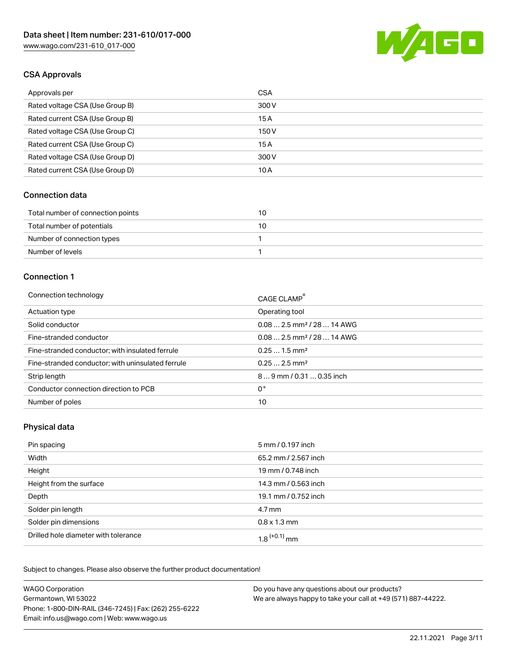

# CSA Approvals

| Approvals per                   | <b>CSA</b> |
|---------------------------------|------------|
| Rated voltage CSA (Use Group B) | 300 V      |
| Rated current CSA (Use Group B) | 15A        |
| Rated voltage CSA (Use Group C) | 150 V      |
| Rated current CSA (Use Group C) | 15 A       |
| Rated voltage CSA (Use Group D) | 300 V      |
| Rated current CSA (Use Group D) | 10 A       |

#### Connection data

| Total number of connection points | 10 |
|-----------------------------------|----|
| Total number of potentials        | 10 |
| Number of connection types        |    |
| Number of levels                  |    |

#### Connection 1

| Connection technology                             | CAGE CLAMP                              |
|---------------------------------------------------|-----------------------------------------|
| Actuation type                                    | Operating tool                          |
| Solid conductor                                   | $0.08$ 2.5 mm <sup>2</sup> / 28  14 AWG |
| Fine-stranded conductor                           | $0.08$ 2.5 mm <sup>2</sup> / 28  14 AWG |
| Fine-stranded conductor; with insulated ferrule   | $0.251.5$ mm <sup>2</sup>               |
| Fine-stranded conductor; with uninsulated ferrule | $0.252.5$ mm <sup>2</sup>               |
| Strip length                                      | $89$ mm $/$ 0.31 $$ 0.35 inch           |
| Conductor connection direction to PCB             | 0°                                      |
| Number of poles                                   | 10                                      |

### Physical data

| Pin spacing                          | 5 mm / 0.197 inch    |
|--------------------------------------|----------------------|
| Width                                | 65.2 mm / 2.567 inch |
| Height                               | 19 mm / 0.748 inch   |
| Height from the surface              | 14.3 mm / 0.563 inch |
| Depth                                | 19.1 mm / 0.752 inch |
| Solder pin length                    | 4.7 mm               |
| Solder pin dimensions                | $0.8 \times 1.3$ mm  |
| Drilled hole diameter with tolerance | $1.8$ $(+0.1)$ mm    |

Subject to changes. Please also observe the further product documentation! Mechanical data

| <b>WAGO Corporation</b>                                | Do you have any questions about our products?                 |
|--------------------------------------------------------|---------------------------------------------------------------|
| Germantown, WI 53022                                   | We are always happy to take your call at +49 (571) 887-44222. |
| Phone: 1-800-DIN-RAIL (346-7245)   Fax: (262) 255-6222 |                                                               |
| Email: info.us@wago.com   Web: www.wago.us             |                                                               |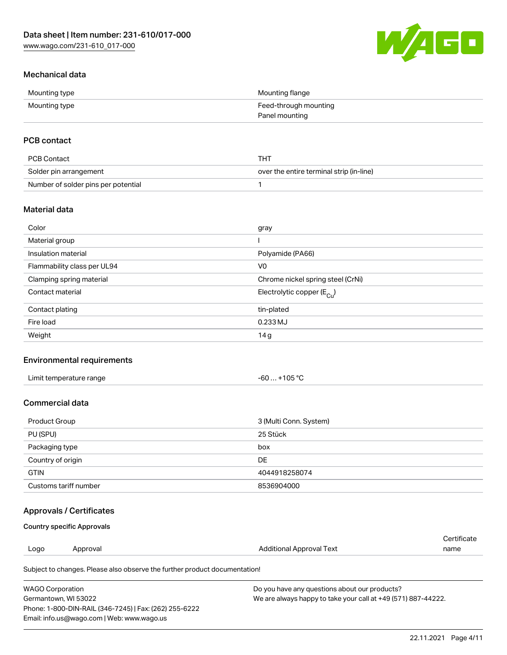

# Mechanical data

| Mounting type | Mounting flange       |
|---------------|-----------------------|
| Mounting type | Feed-through mounting |
|               | Panel mounting        |

## PCB contact

| PCB Contact                         | THT                                      |
|-------------------------------------|------------------------------------------|
| Solder pin arrangement              | over the entire terminal strip (in-line) |
| Number of solder pins per potential |                                          |

### Material data

| Color                       | gray                                    |
|-----------------------------|-----------------------------------------|
| Material group              |                                         |
| Insulation material         | Polyamide (PA66)                        |
| Flammability class per UL94 | V <sub>0</sub>                          |
| Clamping spring material    | Chrome nickel spring steel (CrNi)       |
| Contact material            | Electrolytic copper ( $E_{\text{Cu}}$ ) |
| Contact plating             | tin-plated                              |
| Fire load                   | 0.233 MJ                                |
| Weight                      | 14g                                     |

### Environmental requirements

| Limit temperature range<br>. | +105 °C<br>- 60…∴ |  |
|------------------------------|-------------------|--|
|------------------------------|-------------------|--|

### Commercial data

| Product Group         | 3 (Multi Conn. System) |
|-----------------------|------------------------|
| PU (SPU)              | 25 Stück               |
| Packaging type        | box                    |
| Country of origin     | DE                     |
| <b>GTIN</b>           | 4044918258074          |
| Customs tariff number | 8536904000             |

### Approvals / Certificates

#### Country specific Approvals

| Logo | Approval | Additional Approval Text | name        |
|------|----------|--------------------------|-------------|
|      |          |                          | Certificate |

Subject to changes. Please also observe the further product documentation!

| WAGO Corporation                                       | Do you have any questions about our products?                 |
|--------------------------------------------------------|---------------------------------------------------------------|
| Germantown. WI 53022                                   | We are always happy to take your call at +49 (571) 887-44222. |
| Phone: 1-800-DIN-RAIL (346-7245)   Fax: (262) 255-6222 |                                                               |
| Email: info.us@wago.com   Web: www.wago.us             |                                                               |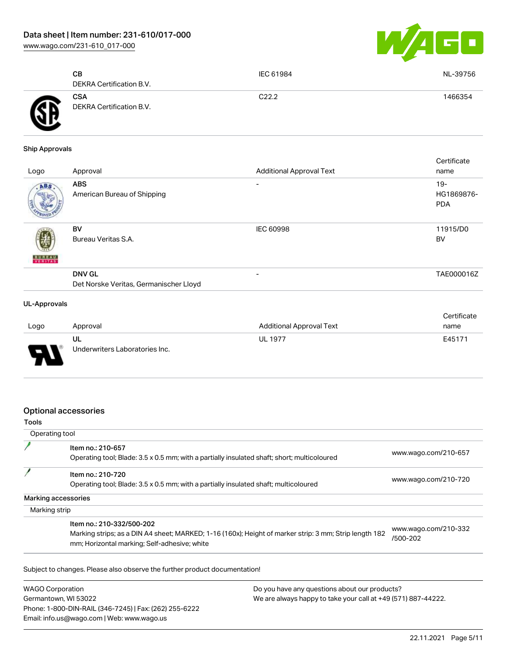[www.wago.com/231-610\\_017-000](http://www.wago.com/231-610_017-000)



|   | CВ<br>DEKRA Certification B.V.         | IEC 61984         | NL-39756 |
|---|----------------------------------------|-------------------|----------|
| Æ | CSA<br><b>DEKRA Certification B.V.</b> | C <sub>22.2</sub> | 1466354  |

#### Ship Approvals

| Logo          | Approval                                                | <b>Additional Approval Text</b> | Certificate<br>name                |
|---------------|---------------------------------------------------------|---------------------------------|------------------------------------|
| ABS           | <b>ABS</b><br>American Bureau of Shipping               | $\overline{\phantom{0}}$        | $19 -$<br>HG1869876-<br><b>PDA</b> |
| <b>BUREAU</b> | BV<br>Bureau Veritas S.A.                               | <b>IEC 60998</b>                | 11915/D0<br><b>BV</b>              |
|               | <b>DNV GL</b><br>Det Norske Veritas, Germanischer Lloyd |                                 | TAE000016Z                         |
|               |                                                         |                                 |                                    |

#### UL-Approvals

|          |                                |                                 | Certificate |
|----------|--------------------------------|---------------------------------|-------------|
| Logo     | Approval                       | <b>Additional Approval Text</b> | name        |
|          | UL                             | <b>UL 1977</b>                  | E45171      |
| J<br>. . | Underwriters Laboratories Inc. |                                 |             |

### Optional accessories

| Operating tool                                                                                         |                      |
|--------------------------------------------------------------------------------------------------------|----------------------|
| Item no.: 210-657                                                                                      | www.wago.com/210-657 |
| Operating tool; Blade: 3.5 x 0.5 mm; with a partially insulated shaft; short; multicoloured            |                      |
| Item no.: 210-720                                                                                      |                      |
| Operating tool; Blade: 3.5 x 0.5 mm; with a partially insulated shaft; multicoloured                   | www.wago.com/210-720 |
| Marking accessories                                                                                    |                      |
| Marking strip                                                                                          |                      |
| Item no.: 210-332/500-202                                                                              |                      |
| Marking strips; as a DIN A4 sheet; MARKED; 1-16 (160x); Height of marker strip: 3 mm; Strip length 182 | www.wago.com/210-332 |
| mm; Horizontal marking; Self-adhesive; white                                                           | /500-202             |

| <b>WAGO Corporation</b>                                |
|--------------------------------------------------------|
| Germantown, WI 53022                                   |
| Phone: 1-800-DIN-RAIL (346-7245)   Fax: (262) 255-6222 |
| Email: info.us@wago.com   Web: www.wago.us             |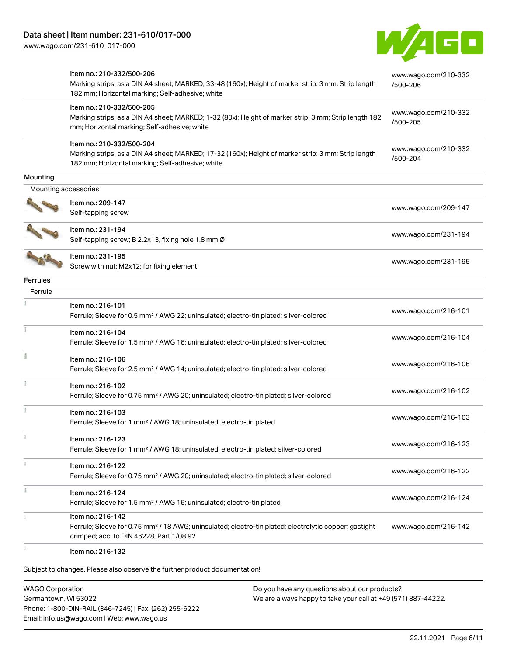

|                      | Item no.: 210-332/500-206                                                                                                                                                            | www.wago.com/210-332             |
|----------------------|--------------------------------------------------------------------------------------------------------------------------------------------------------------------------------------|----------------------------------|
|                      | Marking strips; as a DIN A4 sheet; MARKED; 33-48 (160x); Height of marker strip: 3 mm; Strip length<br>182 mm; Horizontal marking; Self-adhesive; white                              | /500-206                         |
|                      | Item no.: 210-332/500-205<br>Marking strips; as a DIN A4 sheet; MARKED; 1-32 (80x); Height of marker strip: 3 mm; Strip length 182<br>mm; Horizontal marking; Self-adhesive; white   | www.wago.com/210-332<br>/500-205 |
|                      | Item no.: 210-332/500-204<br>Marking strips; as a DIN A4 sheet; MARKED; 17-32 (160x); Height of marker strip: 3 mm; Strip length<br>182 mm; Horizontal marking; Self-adhesive; white | www.wago.com/210-332<br>/500-204 |
| Mounting             |                                                                                                                                                                                      |                                  |
| Mounting accessories |                                                                                                                                                                                      |                                  |
|                      | Item no.: 209-147<br>Self-tapping screw                                                                                                                                              | www.wago.com/209-147             |
|                      | Item no.: 231-194<br>Self-tapping screw; B 2.2x13, fixing hole 1.8 mm Ø                                                                                                              | www.wago.com/231-194             |
|                      | Item no.: 231-195<br>Screw with nut; M2x12; for fixing element                                                                                                                       | www.wago.com/231-195             |
| <b>Ferrules</b>      |                                                                                                                                                                                      |                                  |
| Ferrule              |                                                                                                                                                                                      |                                  |
|                      | Item no.: 216-101<br>Ferrule; Sleeve for 0.5 mm <sup>2</sup> / AWG 22; uninsulated; electro-tin plated; silver-colored                                                               | www.wago.com/216-101             |
|                      | Item no.: 216-104<br>Ferrule; Sleeve for 1.5 mm <sup>2</sup> / AWG 16; uninsulated; electro-tin plated; silver-colored                                                               | www.wago.com/216-104             |
|                      | Item no.: 216-106<br>Ferrule; Sleeve for 2.5 mm <sup>2</sup> / AWG 14; uninsulated; electro-tin plated; silver-colored                                                               | www.wago.com/216-106             |
|                      | Item no.: 216-102<br>Ferrule; Sleeve for 0.75 mm <sup>2</sup> / AWG 20; uninsulated; electro-tin plated; silver-colored                                                              | www.wago.com/216-102             |
|                      | Item no.: 216-103<br>Ferrule; Sleeve for 1 mm <sup>2</sup> / AWG 18; uninsulated; electro-tin plated                                                                                 | www.wago.com/216-103             |
|                      | Item no.: 216-123<br>Ferrule; Sleeve for 1 mm <sup>2</sup> / AWG 18; uninsulated; electro-tin plated; silver-colored                                                                 | www.wago.com/216-123             |
|                      | Item no.: 216-122<br>Ferrule; Sleeve for 0.75 mm <sup>2</sup> / AWG 20; uninsulated; electro-tin plated; silver-colored                                                              | www.wago.com/216-122             |
|                      | Item no.: 216-124<br>Ferrule; Sleeve for 1.5 mm <sup>2</sup> / AWG 16; uninsulated; electro-tin plated                                                                               | www.wago.com/216-124             |
|                      | Item no.: 216-142<br>Ferrule; Sleeve for 0.75 mm <sup>2</sup> / 18 AWG; uninsulated; electro-tin plated; electrolytic copper; gastight<br>crimped; acc. to DIN 46228, Part 1/08.92   | www.wago.com/216-142             |
|                      | Item no.: 216-132                                                                                                                                                                    |                                  |

Subject to changes. Please also observe the further product documentation!

WAGO Corporation Germantown, WI 53022 Phone: 1-800-DIN-RAIL (346-7245) | Fax: (262) 255-6222 Email: info.us@wago.com | Web: www.wago.us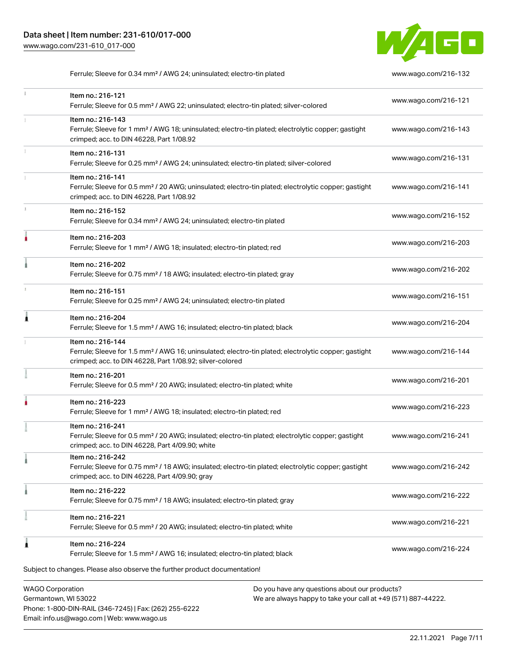Item no.: 216-121

 $\ddot{1}$ 

Phone: 1-800-DIN-RAIL (346-7245) | Fax: (262) 255-6222

Email: info.us@wago.com | Web: www.wago.us



Ferrule; Sleeve for 0.34 mm² / AWG 24; uninsulated; electro-tin plated [www.wago.com/216-132](http://www.wago.com/216-132)

| <b>WAGO Corporation</b><br>Germantown, WI 53022 |                                                                                                                                                                                                   | Do you have any questions about our products?<br>We are always happy to take your call at +49 (571) 887-44222. |                      |
|-------------------------------------------------|---------------------------------------------------------------------------------------------------------------------------------------------------------------------------------------------------|----------------------------------------------------------------------------------------------------------------|----------------------|
|                                                 | Subject to changes. Please also observe the further product documentation!                                                                                                                        |                                                                                                                |                      |
| 1                                               | Item no.: 216-224<br>Ferrule; Sleeve for 1.5 mm <sup>2</sup> / AWG 16; insulated; electro-tin plated; black                                                                                       |                                                                                                                | www.wago.com/216-224 |
|                                                 | Item no.: 216-221<br>Ferrule; Sleeve for 0.5 mm <sup>2</sup> / 20 AWG; insulated; electro-tin plated; white                                                                                       |                                                                                                                | www.wago.com/216-221 |
|                                                 | Item no.: 216-222<br>Ferrule; Sleeve for 0.75 mm <sup>2</sup> / 18 AWG; insulated; electro-tin plated; gray                                                                                       |                                                                                                                | www.wago.com/216-222 |
|                                                 | Item no.: 216-242<br>Ferrule; Sleeve for 0.75 mm <sup>2</sup> / 18 AWG; insulated; electro-tin plated; electrolytic copper; gastight<br>crimped; acc. to DIN 46228, Part 4/09.90; gray            |                                                                                                                | www.wago.com/216-242 |
|                                                 | Item no.: 216-241<br>Ferrule; Sleeve for 0.5 mm <sup>2</sup> / 20 AWG; insulated; electro-tin plated; electrolytic copper; gastight<br>crimped; acc. to DIN 46228, Part 4/09.90; white            |                                                                                                                | www.wago.com/216-241 |
|                                                 | Item no.: 216-223<br>Ferrule; Sleeve for 1 mm <sup>2</sup> / AWG 18; insulated; electro-tin plated; red                                                                                           |                                                                                                                | www.wago.com/216-223 |
|                                                 | Item no.: 216-201<br>Ferrule; Sleeve for 0.5 mm <sup>2</sup> / 20 AWG; insulated; electro-tin plated; white                                                                                       |                                                                                                                | www.wago.com/216-201 |
|                                                 | Item no.: 216-144<br>Ferrule; Sleeve for 1.5 mm <sup>2</sup> / AWG 16; uninsulated; electro-tin plated; electrolytic copper; gastight<br>crimped; acc. to DIN 46228, Part 1/08.92; silver-colored |                                                                                                                | www.wago.com/216-144 |
| 1                                               | Item no.: 216-204<br>Ferrule; Sleeve for 1.5 mm <sup>2</sup> / AWG 16; insulated; electro-tin plated; black                                                                                       |                                                                                                                | www.wago.com/216-204 |
|                                                 | Item no.: 216-151<br>Ferrule; Sleeve for 0.25 mm <sup>2</sup> / AWG 24; uninsulated; electro-tin plated                                                                                           |                                                                                                                | www.wago.com/216-151 |
|                                                 | Item no.: 216-202<br>Ferrule; Sleeve for 0.75 mm <sup>2</sup> / 18 AWG; insulated; electro-tin plated; gray                                                                                       |                                                                                                                | www.wago.com/216-202 |
|                                                 | Item no.: 216-203<br>Ferrule; Sleeve for 1 mm <sup>2</sup> / AWG 18; insulated; electro-tin plated; red                                                                                           |                                                                                                                | www.wago.com/216-203 |
|                                                 | Item no.: 216-152<br>Ferrule; Sleeve for 0.34 mm <sup>2</sup> / AWG 24; uninsulated; electro-tin plated                                                                                           |                                                                                                                | www.wago.com/216-152 |
|                                                 | Item no.: 216-141<br>Ferrule; Sleeve for 0.5 mm <sup>2</sup> / 20 AWG; uninsulated; electro-tin plated; electrolytic copper; gastight<br>crimped; acc. to DIN 46228, Part 1/08.92                 |                                                                                                                | www.wago.com/216-141 |
|                                                 | Item no.: 216-131<br>Ferrule; Sleeve for 0.25 mm <sup>2</sup> / AWG 24; uninsulated; electro-tin plated; silver-colored                                                                           |                                                                                                                | www.wago.com/216-131 |
|                                                 | Item no.: 216-143<br>Ferrule; Sleeve for 1 mm <sup>2</sup> / AWG 18; uninsulated; electro-tin plated; electrolytic copper; gastight<br>crimped; acc. to DIN 46228, Part 1/08.92                   |                                                                                                                | www.wago.com/216-143 |

Ferrule; Sleeve for 0.5 mm² / AWG 22; uninsulated; electro-tin plated; silver-colored [www.wago.com/216-121](http://www.wago.com/216-121)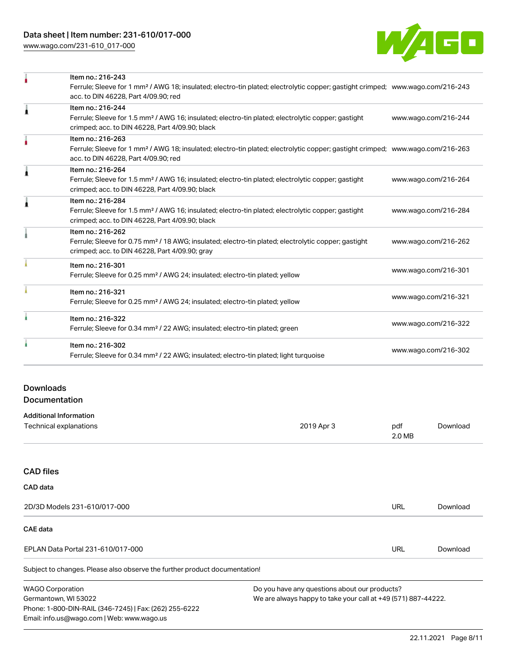[www.wago.com/231-610\\_017-000](http://www.wago.com/231-610_017-000)



|   | Item no.: 216-243                                                                                                                          |                      |
|---|--------------------------------------------------------------------------------------------------------------------------------------------|----------------------|
|   | Ferrule; Sleeve for 1 mm <sup>2</sup> / AWG 18; insulated; electro-tin plated; electrolytic copper; gastight crimped; www.wago.com/216-243 |                      |
|   | acc. to DIN 46228, Part 4/09.90; red                                                                                                       |                      |
| Ă | Item no.: 216-244                                                                                                                          |                      |
|   | Ferrule; Sleeve for 1.5 mm <sup>2</sup> / AWG 16; insulated; electro-tin plated; electrolytic copper; gastight                             | www.wago.com/216-244 |
|   | crimped; acc. to DIN 46228, Part 4/09.90; black                                                                                            |                      |
|   | Item no.: 216-263                                                                                                                          |                      |
|   | Ferrule; Sleeve for 1 mm <sup>2</sup> / AWG 18; insulated; electro-tin plated; electrolytic copper; gastight crimped; www.wago.com/216-263 |                      |
|   | acc. to DIN 46228, Part 4/09.90; red                                                                                                       |                      |
|   | Item no.: 216-264                                                                                                                          |                      |
|   | Ferrule; Sleeve for 1.5 mm <sup>2</sup> / AWG 16; insulated; electro-tin plated; electrolytic copper; gastight                             | www.wago.com/216-264 |
|   | crimped; acc. to DIN 46228, Part 4/09.90; black                                                                                            |                      |
|   | Item no.: 216-284                                                                                                                          |                      |
|   | Ferrule; Sleeve for 1.5 mm <sup>2</sup> / AWG 16; insulated; electro-tin plated; electrolytic copper; gastight                             | www.wago.com/216-284 |
|   | crimped; acc. to DIN 46228, Part 4/09.90; black                                                                                            |                      |
|   | Item no.: 216-262                                                                                                                          |                      |
|   | Ferrule; Sleeve for 0.75 mm <sup>2</sup> / 18 AWG; insulated; electro-tin plated; electrolytic copper; gastight                            | www.wago.com/216-262 |
|   | crimped; acc. to DIN 46228, Part 4/09.90; gray                                                                                             |                      |
|   | Item no.: 216-301                                                                                                                          |                      |
|   | Ferrule; Sleeve for 0.25 mm <sup>2</sup> / AWG 24; insulated; electro-tin plated; yellow                                                   | www.wago.com/216-301 |
|   | Item no.: 216-321                                                                                                                          |                      |
|   | Ferrule; Sleeve for 0.25 mm <sup>2</sup> / AWG 24; insulated; electro-tin plated; yellow                                                   | www.wago.com/216-321 |
|   | Item no.: 216-322                                                                                                                          |                      |
|   | Ferrule; Sleeve for 0.34 mm <sup>2</sup> / 22 AWG; insulated; electro-tin plated; green                                                    | www.wago.com/216-322 |
|   | Item no.: 216-302                                                                                                                          |                      |
|   | Ferrule; Sleeve for 0.34 mm <sup>2</sup> / 22 AWG; insulated; electro-tin plated; light turquoise                                          | www.wago.com/216-302 |
|   |                                                                                                                                            |                      |

# Downloads Documentation

Phone: 1-800-DIN-RAIL (346-7245) | Fax: (262) 255-6222

Email: info.us@wago.com | Web: www.wago.us

| <b>Additional Information</b> |            |               |          |
|-------------------------------|------------|---------------|----------|
| Technical explanations        | 2019 Apr 3 | pdf<br>2.0 MB | Download |
|                               |            |               |          |
| <b>CAD files</b>              |            |               |          |
| CAD data                      |            |               |          |

| 2D/3D Models 231-610/017-000                                                          |  | URL                                           | Download |  |
|---------------------------------------------------------------------------------------|--|-----------------------------------------------|----------|--|
| CAE data                                                                              |  |                                               |          |  |
| EPLAN Data Portal 231-610/017-000                                                     |  | URL                                           | Download |  |
| Subject to changes. Please also observe the further product documentation!            |  |                                               |          |  |
| <b>WAGO Corporation</b>                                                               |  | Do you have any questions about our products? |          |  |
| We are always happy to take your call at +49 (571) 887-44222.<br>Germantown, WI 53022 |  |                                               |          |  |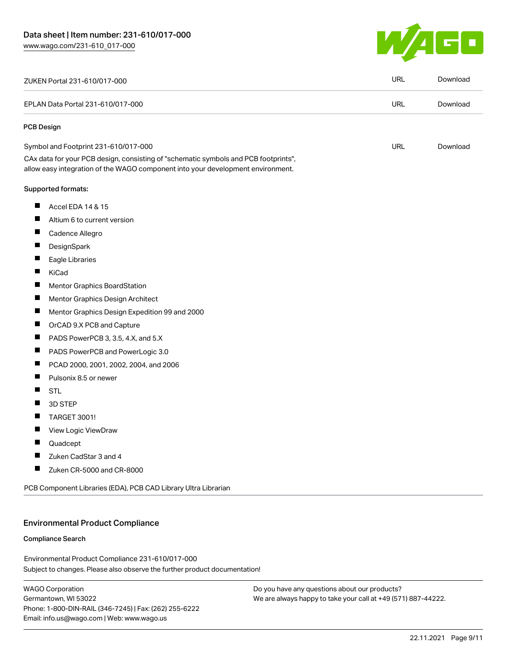

| ZUKEN Portal 231-610/017-000                                                                                                                                           | URL        | Download |
|------------------------------------------------------------------------------------------------------------------------------------------------------------------------|------------|----------|
| EPLAN Data Portal 231-610/017-000                                                                                                                                      | <b>URL</b> | Download |
| PCB Design                                                                                                                                                             |            |          |
| Symbol and Footprint 231-610/017-000                                                                                                                                   | URL        | Download |
| CAx data for your PCB design, consisting of "schematic symbols and PCB footprints",<br>allow easy integration of the WAGO component into your development environment. |            |          |
| Supported formats:                                                                                                                                                     |            |          |
| ш<br>Accel EDA 14 & 15                                                                                                                                                 |            |          |
| ш<br>Altium 6 to current version                                                                                                                                       |            |          |
| Cadence Allegro                                                                                                                                                        |            |          |
| DesignSpark                                                                                                                                                            |            |          |
| Eagle Libraries                                                                                                                                                        |            |          |
| KiCad                                                                                                                                                                  |            |          |
| <b>Mentor Graphics BoardStation</b>                                                                                                                                    |            |          |
| ш<br>Mentor Graphics Design Architect                                                                                                                                  |            |          |
| ш<br>Mentor Graphics Design Expedition 99 and 2000                                                                                                                     |            |          |
| OrCAD 9.X PCB and Capture                                                                                                                                              |            |          |
| ш<br>PADS PowerPCB 3, 3.5, 4.X, and 5.X                                                                                                                                |            |          |
| ш<br>PADS PowerPCB and PowerLogic 3.0                                                                                                                                  |            |          |
| PCAD 2000, 2001, 2002, 2004, and 2006                                                                                                                                  |            |          |
| ш<br>Pulsonix 8.5 or newer                                                                                                                                             |            |          |
| ш<br><b>STL</b>                                                                                                                                                        |            |          |
| 3D STEP                                                                                                                                                                |            |          |
| <b>TARGET 3001!</b>                                                                                                                                                    |            |          |
| ш<br>View Logic ViewDraw                                                                                                                                               |            |          |
| Quadcept                                                                                                                                                               |            |          |
| Zuken CadStar 3 and 4                                                                                                                                                  |            |          |
| Zuken CR-5000 and CR-8000                                                                                                                                              |            |          |
| PCB Component Libraries (EDA), PCB CAD Library Ultra Librarian                                                                                                         |            |          |

# Environmental Product Compliance

#### Compliance Search

Subject to changes. Please also observe the further product documentation! Environmental Product Compliance 231-610/017-000

WAGO Corporation Germantown, WI 53022 Phone: 1-800-DIN-RAIL (346-7245) | Fax: (262) 255-6222 Email: info.us@wago.com | Web: www.wago.us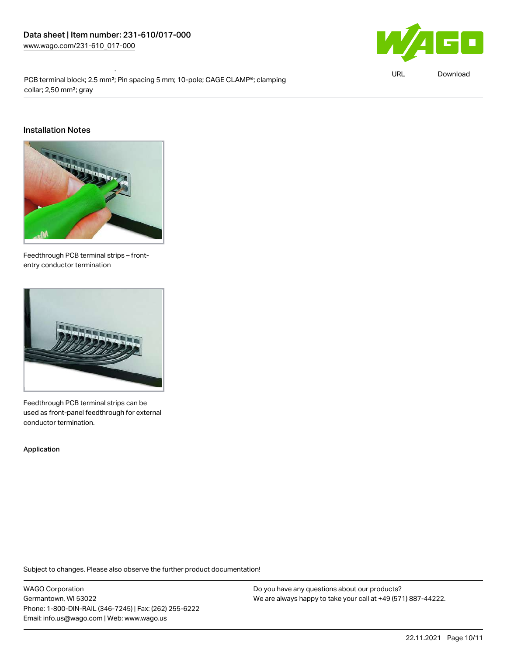Environmental Product Compliance 231-610/017-000



URL [Download](https://www.wago.com/global/d/ComplianceLinkMediaContainer_231-610_017-000)

PCB terminal block; 2.5 mm²; Pin spacing 5 mm; 10-pole; CAGE CLAMP®; clamping collar; 2,50 mm²; gray

#### Installation Notes



Feedthrough PCB terminal strips – frontentry conductor termination



Feedthrough PCB terminal strips can be used as front-panel feedthrough for external conductor termination.

Application

Subject to changes. Please also observe the further product documentation!

WAGO Corporation Germantown, WI 53022 Phone: 1-800-DIN-RAIL (346-7245) | Fax: (262) 255-6222 Email: info.us@wago.com | Web: www.wago.us